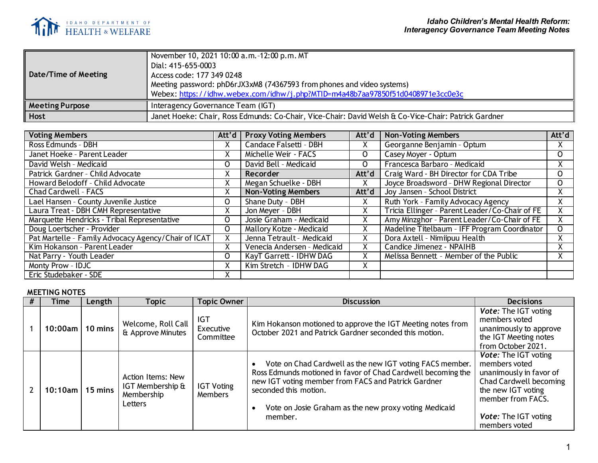

| Date/Time of Meeting   | November 10, 2021 10:00 a.m. -12:00 p.m. MT<br>Dial: 415-655-0003<br>Access code: 177 349 0248<br>Meeting password: phD6rJX3xM8 (74367593 from phones and video systems)<br>Webex: https://idhw.webex.com/idhw/j.php?MTID=m4a48b7aa97850f51d0408971e3cc0e3c |
|------------------------|-------------------------------------------------------------------------------------------------------------------------------------------------------------------------------------------------------------------------------------------------------------|
| <b>Meeting Purpose</b> | Interagency Governance Team (IGT)                                                                                                                                                                                                                           |
| <b>Host</b>            | Janet Hoeke: Chair, Ross Edmunds: Co-Chair, Vice-Chair: David Welsh & Co-Vice-Chair: Patrick Gardner                                                                                                                                                        |

| <b>Voting Members</b>                               | Att'd    | <b>Proxy Voting Members</b> | Att'd | <b>Non-Voting Members</b>                      | Att'd   |
|-----------------------------------------------------|----------|-----------------------------|-------|------------------------------------------------|---------|
| Ross Edmunds - DBH                                  |          | Candace Falsetti - DBH      | X     | Georganne Benjamin - Optum                     | X.      |
| Janet Hoeke - Parent Leader                         | v.       | Michelle Weir - FACS        | 0     | Casey Moyer - Optum                            | $\circ$ |
| David Welsh - Medicaid                              | 0        | David Bell - Medicaid       | 0     | Francesca Barbaro - Medicaid                   | X.      |
| Patrick Gardner - Child Advocate                    |          | Recorder                    | Att'd | Craig Ward - BH Director for CDA Tribe         | 0       |
| Howard Belodoff - Child Advocate                    | х        | Megan Schuelke - DBH        | x     | Joyce Broadsword - DHW Regional Director       | 0       |
| Chad Cardwell - FACS                                |          | <b>Non-Voting Members</b>   | Att'd | Joy Jansen - School District                   |         |
| Lael Hansen - County Juvenile Justice               | O        | Shane Duty - DBH            | X     | Ruth York - Family Advocacy Agency             | Χ.      |
| Laura Treat - DBH CMH Representative                | X        | Jon Meyer - DBH             | Χ     | Tricia Ellinger - Parent Leader/Co-Chair of FE | X.      |
| Marquette Hendricks - Tribal Representative         | 0        | Josie Graham - Medicaid     | χ     | Amy Minzghor - Parent Leader/Co-Chair of FE    | X.      |
| Doug Loertscher - Provider                          | $\Omega$ | Mallory Kotze - Medicaid    | Χ     | Madeline Titelbaum - IFF Program Coordinator   | 0       |
| Pat Martelle - Family Advocacy Agency/Chair of ICAT | X.       | Jenna Tetrault - Medicaid   | Χ     | Dora Axtell - Nimiipuu Health                  | X.      |
| Kim Hokanson - Parent Leader                        |          | Venecia Andersen - Medicaid | x     | Candice Jimenez - NPAIHB                       | X.      |
| Nat Parry - Youth Leader                            | 0        | KayT Garrett - IDHW DAG     | χ     | Melissa Bennett - Member of the Public         |         |
| Monty Prow - IDJC                                   |          | Kim Stretch - IDHW DAG      | Χ     |                                                |         |
| Eric Studebaker - SDE                               |          |                             |       |                                                |         |

## **MEETING NOTES**

| # | <b>Time</b> | Length            | Topic                                                          | <b>Topic Owner</b>                  | <b>Discussion</b>                                                                                                                                                                                                                                                            | <b>Decisions</b>                                                                                                                                                                             |
|---|-------------|-------------------|----------------------------------------------------------------|-------------------------------------|------------------------------------------------------------------------------------------------------------------------------------------------------------------------------------------------------------------------------------------------------------------------------|----------------------------------------------------------------------------------------------------------------------------------------------------------------------------------------------|
|   | 10:00am l   | 10 mins           | Welcome, Roll Call<br>& Approve Minutes                        | IGT<br>Executive<br>Committee       | Kim Hokanson motioned to approve the IGT Meeting notes from<br>October 2021 and Patrick Gardner seconded this motion.                                                                                                                                                        | <b>Vote:</b> The IGT voting<br>members voted<br>unanimously to approve<br>the IGT Meeting notes<br>from October 2021.                                                                        |
|   | $10:10$ am  | $15 \text{ mins}$ | Action Items: New<br>IGT Membership &<br>Membership<br>Letters | <b>IGT Voting</b><br><b>Members</b> | Vote on Chad Cardwell as the new IGT voting FACS member.<br>Ross Edmunds motioned in favor of Chad Cardwell becoming the<br>new IGT voting member from FACS and Patrick Gardner<br>seconded this motion.<br>Vote on Josie Graham as the new proxy voting Medicaid<br>member. | <b>Vote:</b> The IGT voting<br>members voted<br>unanimously in favor of<br>Chad Cardwell becoming<br>the new IGT voting<br>member from FACS.<br><b>Vote:</b> The IGT voting<br>members voted |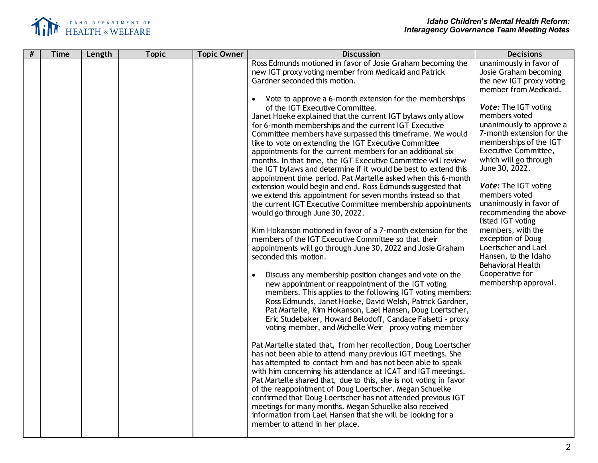

| # | <b>Time</b> | Length | <b>Topic</b> | <b>Topic Owner</b> | <b>Discussion</b>                                                                                                                | <b>Decisions</b>                              |
|---|-------------|--------|--------------|--------------------|----------------------------------------------------------------------------------------------------------------------------------|-----------------------------------------------|
|   |             |        |              |                    | Ross Edmunds motioned in favor of Josie Graham becoming the                                                                      | unanimously in favor of                       |
|   |             |        |              |                    | new IGT proxy voting member from Medicaid and Patrick                                                                            | Josie Graham becoming                         |
|   |             |        |              |                    | Gardner seconded this motion.                                                                                                    | the new IGT proxy voting                      |
|   |             |        |              |                    |                                                                                                                                  | member from Medicaid.                         |
|   |             |        |              |                    | Vote to approve a 6-month extension for the memberships<br>$\bullet$                                                             |                                               |
|   |             |        |              |                    | of the IGT Executive Committee.                                                                                                  | Vote: The IGT voting                          |
|   |             |        |              |                    | Janet Hoeke explained that the current IGT bylaws only allow                                                                     | members voted                                 |
|   |             |        |              |                    | for 6-month memberships and the current IGT Executive                                                                            | unanimously to approve a                      |
|   |             |        |              |                    | Committee members have surpassed this timeframe. We would                                                                        | 7-month extension for the                     |
|   |             |        |              |                    | like to vote on extending the IGT Executive Committee                                                                            | memberships of the IGT                        |
|   |             |        |              |                    | appointments for the current members for an additional six                                                                       | Executive Committee,<br>which will go through |
|   |             |        |              |                    | months. In that time, the IGT Executive Committee will review<br>the IGT bylaws and determine if it would be best to extend this | June 30, 2022.                                |
|   |             |        |              |                    | appointment time period. Pat Martelle asked when this 6-month                                                                    |                                               |
|   |             |        |              |                    | extension would begin and end. Ross Edmunds suggested that                                                                       | Vote: The IGT voting                          |
|   |             |        |              |                    | we extend this appointment for seven months instead so that                                                                      | members voted                                 |
|   |             |        |              |                    | the current IGT Executive Committee membership appointments                                                                      | unanimously in favor of                       |
|   |             |        |              |                    | would go through June 30, 2022.                                                                                                  | recommending the above                        |
|   |             |        |              |                    |                                                                                                                                  | listed IGT voting                             |
|   |             |        |              |                    | Kim Hokanson motioned in favor of a 7-month extension for the                                                                    | members, with the                             |
|   |             |        |              |                    | members of the IGT Executive Committee so that their                                                                             | exception of Doug                             |
|   |             |        |              |                    | appointments will go through June 30, 2022 and Josie Graham                                                                      | Loertscher and Lael                           |
|   |             |        |              |                    | seconded this motion.                                                                                                            | Hansen, to the Idaho                          |
|   |             |        |              |                    |                                                                                                                                  | <b>Behavioral Health</b>                      |
|   |             |        |              |                    | Discuss any membership position changes and vote on the                                                                          | Cooperative for                               |
|   |             |        |              |                    | new appointment or reappointment of the IGT voting                                                                               | membership approval.                          |
|   |             |        |              |                    | members. This applies to the following IGT voting members:                                                                       |                                               |
|   |             |        |              |                    | Ross Edmunds, Janet Hoeke, David Welsh, Patrick Gardner,                                                                         |                                               |
|   |             |        |              |                    | Pat Martelle, Kim Hokanson, Lael Hansen, Doug Loertscher,                                                                        |                                               |
|   |             |        |              |                    | Eric Studebaker, Howard Belodoff, Candace Falsetti - proxy                                                                       |                                               |
|   |             |        |              |                    | voting member, and Michelle Weir - proxy voting member                                                                           |                                               |
|   |             |        |              |                    |                                                                                                                                  |                                               |
|   |             |        |              |                    | Pat Martelle stated that, from her recollection, Doug Loertscher                                                                 |                                               |
|   |             |        |              |                    | has not been able to attend many previous IGT meetings. She                                                                      |                                               |
|   |             |        |              |                    | has attempted to contact him and has not been able to speak                                                                      |                                               |
|   |             |        |              |                    | with him concerning his attendance at ICAT and IGT meetings.                                                                     |                                               |
|   |             |        |              |                    | Pat Martelle shared that, due to this, she is not voting in favor                                                                |                                               |
|   |             |        |              |                    | of the reappointment of Doug Loertscher. Megan Schuelke                                                                          |                                               |
|   |             |        |              |                    | confirmed that Doug Loertscher has not attended previous IGT                                                                     |                                               |
|   |             |        |              |                    | meetings for many months. Megan Schuelke also received<br>information from Lael Hansen that she will be looking for a            |                                               |
|   |             |        |              |                    | member to attend in her place.                                                                                                   |                                               |
|   |             |        |              |                    |                                                                                                                                  |                                               |
|   |             |        |              |                    |                                                                                                                                  |                                               |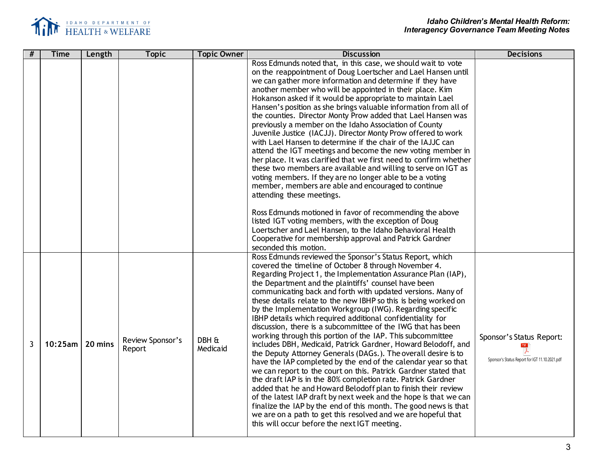

| #              | <b>Time</b>        | Length | <b>Topic</b>               | <b>Topic Owner</b> | <b>Discussion</b>                                                                                                                                                                                                                                                                                                                                                                                                                                                                                                                                                                                                                                                                                                                                                                                                                                                                                                                                                                                                                                                                                                                                                                                                                                                                                       | <b>Decisions</b>                                                           |
|----------------|--------------------|--------|----------------------------|--------------------|---------------------------------------------------------------------------------------------------------------------------------------------------------------------------------------------------------------------------------------------------------------------------------------------------------------------------------------------------------------------------------------------------------------------------------------------------------------------------------------------------------------------------------------------------------------------------------------------------------------------------------------------------------------------------------------------------------------------------------------------------------------------------------------------------------------------------------------------------------------------------------------------------------------------------------------------------------------------------------------------------------------------------------------------------------------------------------------------------------------------------------------------------------------------------------------------------------------------------------------------------------------------------------------------------------|----------------------------------------------------------------------------|
|                |                    |        |                            |                    | Ross Edmunds noted that, in this case, we should wait to vote<br>on the reappointment of Doug Loertscher and Lael Hansen until<br>we can gather more information and determine if they have<br>another member who will be appointed in their place. Kim<br>Hokanson asked if it would be appropriate to maintain Lael<br>Hansen's position as she brings valuable information from all of<br>the counties. Director Monty Prow added that Lael Hansen was<br>previously a member on the Idaho Association of County<br>Juvenile Justice (IACJJ). Director Monty Prow offered to work<br>with Lael Hansen to determine if the chair of the IAJJC can<br>attend the IGT meetings and become the new voting member in<br>her place. It was clarified that we first need to confirm whether<br>these two members are available and willing to serve on IGT as<br>voting members. If they are no longer able to be a voting<br>member, members are able and encouraged to continue<br>attending these meetings.<br>Ross Edmunds motioned in favor of recommending the above<br>listed IGT voting members, with the exception of Doug<br>Loertscher and Lael Hansen, to the Idaho Behavioral Health<br>Cooperative for membership approval and Patrick Gardner<br>seconded this motion.                       |                                                                            |
| $\overline{3}$ | $10:25$ am 20 mins |        | Review Sponsor's<br>Report | DBH &<br>Medicaid  | Ross Edmunds reviewed the Sponsor's Status Report, which<br>covered the timeline of October 8 through November 4.<br>Regarding Project 1, the Implementation Assurance Plan (IAP),<br>the Department and the plaintiffs' counsel have been<br>communicating back and forth with updated versions. Many of<br>these details relate to the new IBHP so this is being worked on<br>by the Implementation Workgroup (IWG). Regarding specific<br>IBHP details which required additional confidentiality for<br>discussion, there is a subcommittee of the IWG that has been<br>working through this portion of the IAP. This subcommittee<br>includes DBH, Medicaid, Patrick Gardner, Howard Belodoff, and<br>the Deputy Attorney Generals (DAGs.). The overall desire is to<br>have the IAP completed by the end of the calendar year so that<br>we can report to the court on this. Patrick Gardner stated that<br>the draft IAP is in the 80% completion rate. Patrick Gardner<br>added that he and Howard Belodoff plan to finish their review<br>of the latest IAP draft by next week and the hope is that we can<br>finalize the IAP by the end of this month. The good news is that<br>we are on a path to get this resolved and we are hopeful that<br>this will occur before the next IGT meeting. | Sponsor's Status Report:<br>Sponsor's Status Report for IGT 11.10.2021.pdf |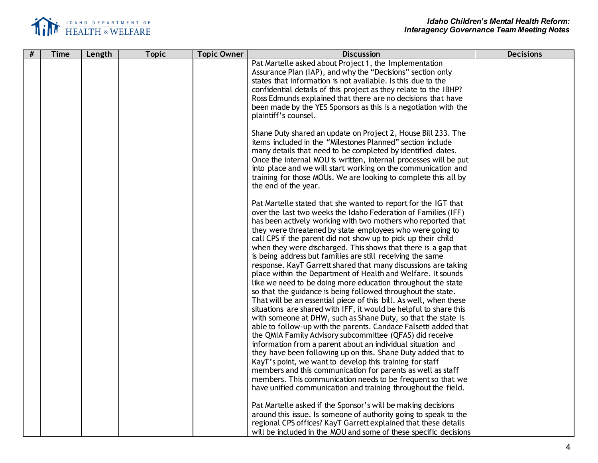

| # | <b>Time</b> | Length | <b>Topic</b> | <b>Topic Owner</b> | <b>Discussion</b>                                                                                                                                                                                                                                                                                                                                                                                                                                                                                                                                                                                                                                                                                                                                                                                                                                                                                                                                                                                                                                                                                                                                                                                                                                                                                                                                                                                                                                                                                                                     | <b>Decisions</b> |
|---|-------------|--------|--------------|--------------------|---------------------------------------------------------------------------------------------------------------------------------------------------------------------------------------------------------------------------------------------------------------------------------------------------------------------------------------------------------------------------------------------------------------------------------------------------------------------------------------------------------------------------------------------------------------------------------------------------------------------------------------------------------------------------------------------------------------------------------------------------------------------------------------------------------------------------------------------------------------------------------------------------------------------------------------------------------------------------------------------------------------------------------------------------------------------------------------------------------------------------------------------------------------------------------------------------------------------------------------------------------------------------------------------------------------------------------------------------------------------------------------------------------------------------------------------------------------------------------------------------------------------------------------|------------------|
|   |             |        |              |                    | Pat Martelle asked about Project 1, the Implementation<br>Assurance Plan (IAP), and why the "Decisions" section only<br>states that information is not available. Is this due to the<br>confidential details of this project as they relate to the IBHP?<br>Ross Edmunds explained that there are no decisions that have<br>been made by the YES Sponsors as this is a negotiation with the<br>plaintiff's counsel.                                                                                                                                                                                                                                                                                                                                                                                                                                                                                                                                                                                                                                                                                                                                                                                                                                                                                                                                                                                                                                                                                                                   |                  |
|   |             |        |              |                    | Shane Duty shared an update on Project 2, House Bill 233. The<br>items included in the "Milestones Planned" section include<br>many details that need to be completed by identified dates.<br>Once the internal MOU is written, internal processes will be put<br>into place and we will start working on the communication and<br>training for those MOUs. We are looking to complete this all by<br>the end of the year.                                                                                                                                                                                                                                                                                                                                                                                                                                                                                                                                                                                                                                                                                                                                                                                                                                                                                                                                                                                                                                                                                                            |                  |
|   |             |        |              |                    | Pat Martelle stated that she wanted to report for the IGT that<br>over the last two weeks the Idaho Federation of Families (IFF)<br>has been actively working with two mothers who reported that<br>they were threatened by state employees who were going to<br>call CPS if the parent did not show up to pick up their child<br>when they were discharged. This shows that there is a gap that<br>is being address but families are still receiving the same<br>response. KayT Garrett shared that many discussions are taking<br>place within the Department of Health and Welfare. It sounds<br>like we need to be doing more education throughout the state<br>so that the guidance is being followed throughout the state.<br>That will be an essential piece of this bill. As well, when these<br>situations are shared with IFF, it would be helpful to share this<br>with someone at DHW, such as Shane Duty, so that the state is<br>able to follow-up with the parents. Candace Falsetti added that<br>the QMIA Family Advisory subcommittee (QFAS) did receive<br>information from a parent about an individual situation and<br>they have been following up on this. Shane Duty added that to<br>KayT's point, we want to develop this training for staff<br>members and this communication for parents as well as staff<br>members. This communication needs to be frequent so that we<br>have unified communication and training throughout the field.<br>Pat Martelle asked if the Sponsor's will be making decisions |                  |
|   |             |        |              |                    | around this issue. Is someone of authority going to speak to the<br>regional CPS offices? KayT Garrett explained that these details<br>will be included in the MOU and some of these specific decisions                                                                                                                                                                                                                                                                                                                                                                                                                                                                                                                                                                                                                                                                                                                                                                                                                                                                                                                                                                                                                                                                                                                                                                                                                                                                                                                               |                  |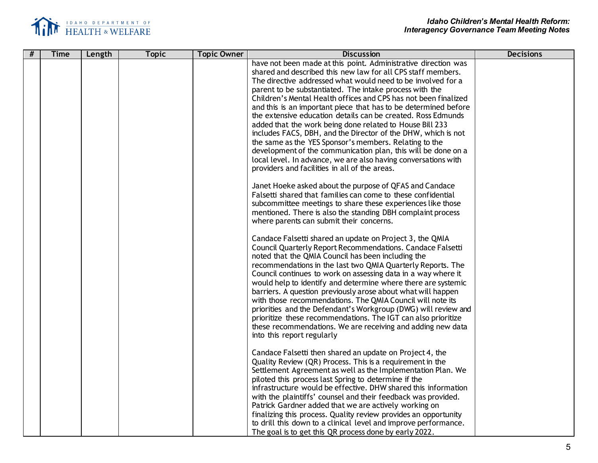

|   | <b>Time</b> | Length |              |                    |                                                                                                                                                                                                                                                                                                                                                                                                                                                                                                                                                                                                                                                                                                                                                                                                                                                                                                                                                                                                                                                                                                                                                                                                                                                                                                                                                                                                                                                                                                                                                                                                                                                                                                                                                                                                                                                                                                                                                                                                                                                                                                             | <b>Decisions</b> |
|---|-------------|--------|--------------|--------------------|-------------------------------------------------------------------------------------------------------------------------------------------------------------------------------------------------------------------------------------------------------------------------------------------------------------------------------------------------------------------------------------------------------------------------------------------------------------------------------------------------------------------------------------------------------------------------------------------------------------------------------------------------------------------------------------------------------------------------------------------------------------------------------------------------------------------------------------------------------------------------------------------------------------------------------------------------------------------------------------------------------------------------------------------------------------------------------------------------------------------------------------------------------------------------------------------------------------------------------------------------------------------------------------------------------------------------------------------------------------------------------------------------------------------------------------------------------------------------------------------------------------------------------------------------------------------------------------------------------------------------------------------------------------------------------------------------------------------------------------------------------------------------------------------------------------------------------------------------------------------------------------------------------------------------------------------------------------------------------------------------------------------------------------------------------------------------------------------------------------|------------------|
| # |             |        | <b>Topic</b> | <b>Topic Owner</b> | <b>Discussion</b><br>have not been made at this point. Administrative direction was<br>shared and described this new law for all CPS staff members.<br>The directive addressed what would need to be involved for a<br>parent to be substantiated. The intake process with the<br>Children's Mental Health offices and CPS has not been finalized<br>and this is an important piece that has to be determined before<br>the extensive education details can be created. Ross Edmunds<br>added that the work being done related to House Bill 233<br>includes FACS, DBH, and the Director of the DHW, which is not<br>the same as the YES Sponsor's members. Relating to the<br>development of the communication plan, this will be done on a<br>local level. In advance, we are also having conversations with<br>providers and facilities in all of the areas.<br>Janet Hoeke asked about the purpose of QFAS and Candace<br>Falsetti shared that families can come to these confidential<br>subcommittee meetings to share these experiences like those<br>mentioned. There is also the standing DBH complaint process<br>where parents can submit their concerns.<br>Candace Falsetti shared an update on Project 3, the QMIA<br>Council Quarterly Report Recommendations. Candace Falsetti<br>noted that the QMIA Council has been including the<br>recommendations in the last two QMIA Quarterly Reports. The<br>Council continues to work on assessing data in a way where it<br>would help to identify and determine where there are systemic<br>barriers. A question previously arose about what will happen<br>with those recommendations. The QMIA Council will note its<br>priorities and the Defendant's Workgroup (DWG) will review and<br>prioritize these recommendations. The IGT can also prioritize<br>these recommendations. We are receiving and adding new data<br>into this report regularly<br>Candace Falsetti then shared an update on Project 4, the<br>Quality Review (QR) Process. This is a requirement in the<br>Settlement Agreement as well as the Implementation Plan. We |                  |
|   |             |        |              |                    | piloted this process last Spring to determine if the<br>infrastructure would be effective. DHW shared this information<br>with the plaintiffs' counsel and their feedback was provided.<br>Patrick Gardner added that we are actively working on<br>finalizing this process. Quality review provides an opportunity<br>to drill this down to a clinical level and improve performance.<br>The goal is to get this QR process done by early 2022.                                                                                                                                                                                                                                                                                                                                                                                                                                                                                                                                                                                                                                                                                                                                                                                                                                                                                                                                                                                                                                                                                                                                                                                                                                                                                                                                                                                                                                                                                                                                                                                                                                                            |                  |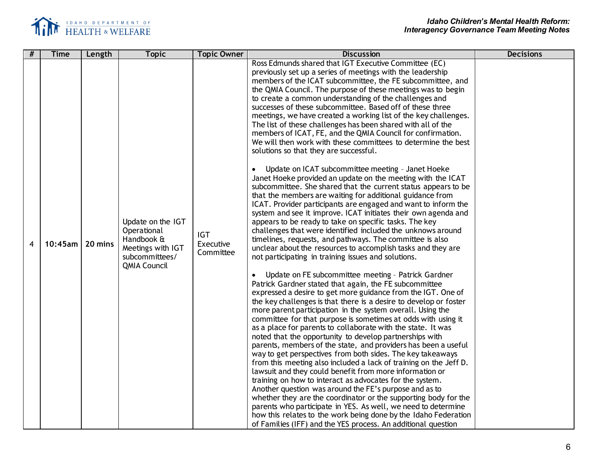

| # | <b>Time</b> | Length  | <b>Topic</b>                                                                                                 | <b>Topic Owner</b>                   | <b>Discussion</b>                                                                                                                                                                                                                                                                                                                                                                                                                                                                                                                                                                                                                                                                                                                                                                                                                                                                                                                                                                                                                                                                                                                                                                                                                                                                                                                                                                                                                                                                                                                                                                                                                                                                                                                                                                                                                                                                                                                                                                                                                                                                                                                                                                                                                                                                                                                                                                                                                                                                                                                                                                   | <b>Decisions</b> |
|---|-------------|---------|--------------------------------------------------------------------------------------------------------------|--------------------------------------|-------------------------------------------------------------------------------------------------------------------------------------------------------------------------------------------------------------------------------------------------------------------------------------------------------------------------------------------------------------------------------------------------------------------------------------------------------------------------------------------------------------------------------------------------------------------------------------------------------------------------------------------------------------------------------------------------------------------------------------------------------------------------------------------------------------------------------------------------------------------------------------------------------------------------------------------------------------------------------------------------------------------------------------------------------------------------------------------------------------------------------------------------------------------------------------------------------------------------------------------------------------------------------------------------------------------------------------------------------------------------------------------------------------------------------------------------------------------------------------------------------------------------------------------------------------------------------------------------------------------------------------------------------------------------------------------------------------------------------------------------------------------------------------------------------------------------------------------------------------------------------------------------------------------------------------------------------------------------------------------------------------------------------------------------------------------------------------------------------------------------------------------------------------------------------------------------------------------------------------------------------------------------------------------------------------------------------------------------------------------------------------------------------------------------------------------------------------------------------------------------------------------------------------------------------------------------------------|------------------|
| 4 | $10:45$ am  | 20 mins | Update on the IGT<br>Operational<br>Handbook &<br>Meetings with IGT<br>subcommittees/<br><b>QMIA Council</b> | <b>IGT</b><br>Executive<br>Committee | Ross Edmunds shared that IGT Executive Committee (EC)<br>previously set up a series of meetings with the leadership<br>members of the ICAT subcommittee, the FE subcommittee, and<br>the QMIA Council. The purpose of these meetings was to begin<br>to create a common understanding of the challenges and<br>successes of these subcommittee. Based off of these three<br>meetings, we have created a working list of the key challenges.<br>The list of these challenges has been shared with all of the<br>members of ICAT, FE, and the QMIA Council for confirmation.<br>We will then work with these committees to determine the best<br>solutions so that they are successful.<br>Update on ICAT subcommittee meeting - Janet Hoeke<br>$\bullet$<br>Janet Hoeke provided an update on the meeting with the ICAT<br>subcommittee. She shared that the current status appears to be<br>that the members are waiting for additional guidance from<br>ICAT. Provider participants are engaged and want to inform the<br>system and see it improve. ICAT initiates their own agenda and<br>appears to be ready to take on specific tasks. The key<br>challenges that were identified included the unknows around<br>timelines, requests, and pathways. The committee is also<br>unclear about the resources to accomplish tasks and they are<br>not participating in training issues and solutions.<br>Update on FE subcommittee meeting - Patrick Gardner<br>Patrick Gardner stated that again, the FE subcommittee<br>expressed a desire to get more guidance from the IGT. One of<br>the key challenges is that there is a desire to develop or foster<br>more parent participation in the system overall. Using the<br>committee for that purpose is sometimes at odds with using it<br>as a place for parents to collaborate with the state. It was<br>noted that the opportunity to develop partnerships with<br>parents, members of the state, and providers has been a useful<br>way to get perspectives from both sides. The key takeaways<br>from this meeting also included a lack of training on the Jeff D.<br>lawsuit and they could benefit from more information or<br>training on how to interact as advocates for the system.<br>Another question was around the FE's purpose and as to<br>whether they are the coordinator or the supporting body for the<br>parents who participate in YES. As well, we need to determine<br>how this relates to the work being done by the Idaho Federation<br>of Families (IFF) and the YES process. An additional question |                  |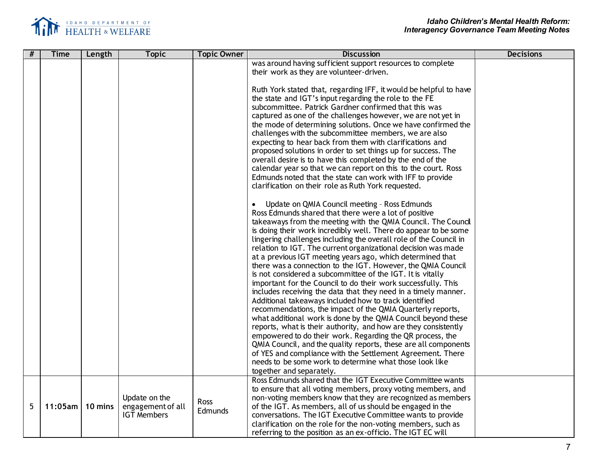

| # | <b>Time</b> | Length  | <b>Topic</b>       | <b>Topic Owner</b> | <b>Discussion</b>                                                 | <b>Decisions</b> |
|---|-------------|---------|--------------------|--------------------|-------------------------------------------------------------------|------------------|
|   |             |         |                    |                    | was around having sufficient support resources to complete        |                  |
|   |             |         |                    |                    | their work as they are volunteer-driven.                          |                  |
|   |             |         |                    |                    |                                                                   |                  |
|   |             |         |                    |                    | Ruth York stated that, regarding IFF, it would be helpful to have |                  |
|   |             |         |                    |                    | the state and IGT's input regarding the role to the FE            |                  |
|   |             |         |                    |                    | subcommittee. Patrick Gardner confirmed that this was             |                  |
|   |             |         |                    |                    | captured as one of the challenges however, we are not yet in      |                  |
|   |             |         |                    |                    | the mode of determining solutions. Once we have confirmed the     |                  |
|   |             |         |                    |                    | challenges with the subcommittee members, we are also             |                  |
|   |             |         |                    |                    | expecting to hear back from them with clarifications and          |                  |
|   |             |         |                    |                    | proposed solutions in order to set things up for success. The     |                  |
|   |             |         |                    |                    | overall desire is to have this completed by the end of the        |                  |
|   |             |         |                    |                    | calendar year so that we can report on this to the court. Ross    |                  |
|   |             |         |                    |                    | Edmunds noted that the state can work with IFF to provide         |                  |
|   |             |         |                    |                    | clarification on their role as Ruth York requested.               |                  |
|   |             |         |                    |                    |                                                                   |                  |
|   |             |         |                    |                    | Update on QMIA Council meeting - Ross Edmunds<br>$\bullet$        |                  |
|   |             |         |                    |                    | Ross Edmunds shared that there were a lot of positive             |                  |
|   |             |         |                    |                    | takeaways from the meeting with the QMIA Council. The Council     |                  |
|   |             |         |                    |                    | is doing their work incredibly well. There do appear to be some   |                  |
|   |             |         |                    |                    | lingering challenges including the overall role of the Council in |                  |
|   |             |         |                    |                    | relation to IGT. The current organizational decision was made     |                  |
|   |             |         |                    |                    | at a previous IGT meeting years ago, which determined that        |                  |
|   |             |         |                    |                    | there was a connection to the IGT. However, the QMIA Council      |                  |
|   |             |         |                    |                    | is not considered a subcommittee of the IGT. It is vitally        |                  |
|   |             |         |                    |                    | important for the Council to do their work successfully. This     |                  |
|   |             |         |                    |                    | includes receiving the data that they need in a timely manner.    |                  |
|   |             |         |                    |                    | Additional takeaways included how to track identified             |                  |
|   |             |         |                    |                    | recommendations, the impact of the QMIA Quarterly reports,        |                  |
|   |             |         |                    |                    | what additional work is done by the QMIA Council beyond these     |                  |
|   |             |         |                    |                    | reports, what is their authority, and how are they consistently   |                  |
|   |             |         |                    |                    | empowered to do their work. Regarding the QR process, the         |                  |
|   |             |         |                    |                    | QMIA Council, and the quality reports, these are all components   |                  |
|   |             |         |                    |                    | of YES and compliance with the Settlement Agreement. There        |                  |
|   |             |         |                    |                    | needs to be some work to determine what those look like           |                  |
|   |             |         |                    |                    | together and separately.                                          |                  |
|   |             |         |                    |                    | Ross Edmunds shared that the IGT Executive Committee wants        |                  |
|   |             |         |                    |                    | to ensure that all voting members, proxy voting members, and      |                  |
|   |             |         | Update on the      |                    | non-voting members know that they are recognized as members       |                  |
| 5 | 11:05am     | 10 mins | engagement of all  | Ross               | of the IGT. As members, all of us should be engaged in the        |                  |
|   |             |         | <b>IGT Members</b> | Edmunds            | conversations. The IGT Executive Committee wants to provide       |                  |
|   |             |         |                    |                    | clarification on the role for the non-voting members, such as     |                  |
|   |             |         |                    |                    | referring to the position as an ex-officio. The IGT EC will       |                  |
|   |             |         |                    |                    |                                                                   |                  |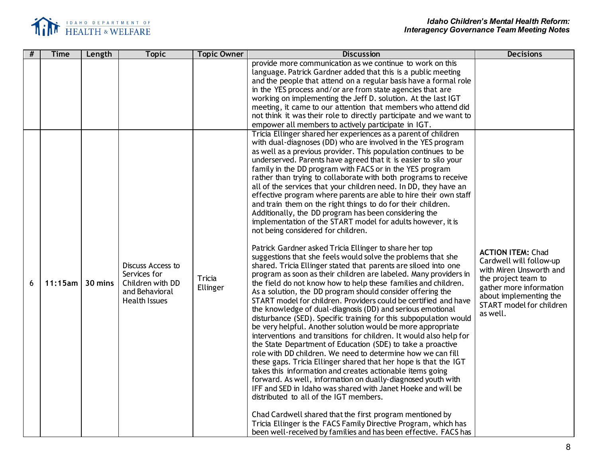

| # | <b>Time</b> | Length  | <b>Topic</b>                                                                                    | <b>Topic Owner</b> | <b>Discussion</b>                                                                                                                                                                                                                                                                                                                                                                                                                                                                                                                                                                                                                                                                                                                                                                                                                                                                                                                                                                                                                                                                                                                                                                                                                                                                                                                                                                                                                                                                                                                                                                                                                                                                                                                                                                                                                                                                                                                                                                                                                                                                                                                                                | <b>Decisions</b>                                                                                                                                                                                   |
|---|-------------|---------|-------------------------------------------------------------------------------------------------|--------------------|------------------------------------------------------------------------------------------------------------------------------------------------------------------------------------------------------------------------------------------------------------------------------------------------------------------------------------------------------------------------------------------------------------------------------------------------------------------------------------------------------------------------------------------------------------------------------------------------------------------------------------------------------------------------------------------------------------------------------------------------------------------------------------------------------------------------------------------------------------------------------------------------------------------------------------------------------------------------------------------------------------------------------------------------------------------------------------------------------------------------------------------------------------------------------------------------------------------------------------------------------------------------------------------------------------------------------------------------------------------------------------------------------------------------------------------------------------------------------------------------------------------------------------------------------------------------------------------------------------------------------------------------------------------------------------------------------------------------------------------------------------------------------------------------------------------------------------------------------------------------------------------------------------------------------------------------------------------------------------------------------------------------------------------------------------------------------------------------------------------------------------------------------------------|----------------------------------------------------------------------------------------------------------------------------------------------------------------------------------------------------|
|   |             |         |                                                                                                 |                    | provide more communication as we continue to work on this<br>language. Patrick Gardner added that this is a public meeting<br>and the people that attend on a regular basis have a formal role<br>in the YES process and/or are from state agencies that are<br>working on implementing the Jeff D. solution. At the last IGT<br>meeting, it came to our attention that members who attend did<br>not think it was their role to directly participate and we want to<br>empower all members to actively participate in IGT.                                                                                                                                                                                                                                                                                                                                                                                                                                                                                                                                                                                                                                                                                                                                                                                                                                                                                                                                                                                                                                                                                                                                                                                                                                                                                                                                                                                                                                                                                                                                                                                                                                      |                                                                                                                                                                                                    |
| 6 | 11:15am     | 30 mins | Discuss Access to<br>Services for<br>Children with DD<br>and Behavioral<br><b>Health Issues</b> | Tricia<br>Ellinger | Tricia Ellinger shared her experiences as a parent of children<br>with dual-diagnoses (DD) who are involved in the YES program<br>as well as a previous provider. This population continues to be<br>underserved. Parents have agreed that it is easier to silo your<br>family in the DD program with FACS or in the YES program<br>rather than trying to collaborate with both programs to receive<br>all of the services that your children need. In DD, they have an<br>effective program where parents are able to hire their own staff<br>and train them on the right things to do for their children.<br>Additionally, the DD program has been considering the<br>implementation of the START model for adults however, it is<br>not being considered for children.<br>Patrick Gardner asked Tricia Ellinger to share her top<br>suggestions that she feels would solve the problems that she<br>shared. Tricia Ellinger stated that parents are siloed into one<br>program as soon as their children are labeled. Many providers in<br>the field do not know how to help these families and children.<br>As a solution, the DD program should consider offering the<br>START model for children. Providers could be certified and have<br>the knowledge of dual-diagnosis (DD) and serious emotional<br>disturbance (SED). Specific training for this subpopulation would<br>be very helpful. Another solution would be more appropriate<br>interventions and transitions for children. It would also help for<br>the State Department of Education (SDE) to take a proactive<br>role with DD children. We need to determine how we can fill<br>these gaps. Tricia Ellinger shared that her hope is that the IGT<br>takes this information and creates actionable items going<br>forward. As well, information on dually-diagnosed youth with<br>IFF and SED in Idaho was shared with Janet Hoeke and will be<br>distributed to all of the IGT members.<br>Chad Cardwell shared that the first program mentioned by<br>Tricia Ellinger is the FACS Family Directive Program, which has<br>been well-received by families and has been effective. FACS has | <b>ACTION ITEM: Chad</b><br>Cardwell will follow-up<br>with Miren Unsworth and<br>the project team to<br>gather more information<br>about implementing the<br>START model for children<br>as well. |